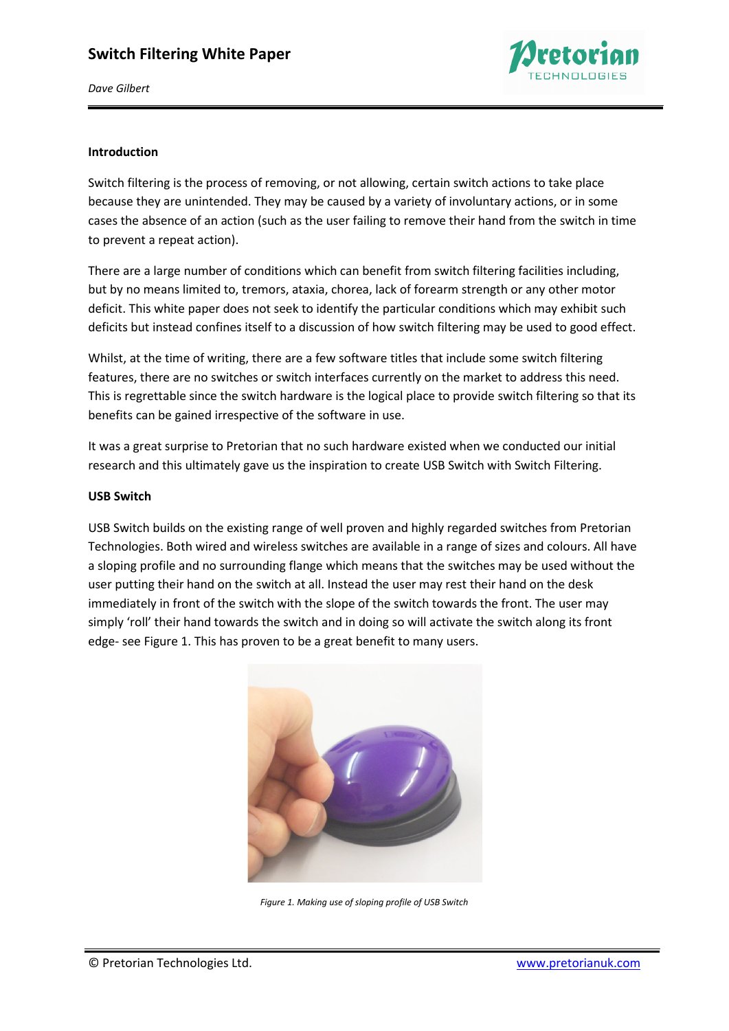

*Dave Gilbert* 

### **Introduction**

Switch filtering is the process of removing, or not allowing, certain switch actions to take place because they are unintended. They may be caused by a variety of involuntary actions, or in some cases the absence of an action (such as the user failing to remove their hand from the switch in time to prevent a repeat action).

There are a large number of conditions which can benefit from switch filtering facilities including, but by no means limited to, tremors, ataxia, chorea, lack of forearm strength or any other motor deficit. This white paper does not seek to identify the particular conditions which may exhibit such deficits but instead confines itself to a discussion of how switch filtering may be used to good effect.

Whilst, at the time of writing, there are a few software titles that include some switch filtering features, there are no switches or switch interfaces currently on the market to address this need. This is regrettable since the switch hardware is the logical place to provide switch filtering so that its benefits can be gained irrespective of the software in use.

It was a great surprise to Pretorian that no such hardware existed when we conducted our initial research and this ultimately gave us the inspiration to create USB Switch with Switch Filtering.

### **USB Switch**

USB Switch builds on the existing range of well proven and highly regarded switches from Pretorian Technologies. Both wired and wireless switches are available in a range of sizes and colours. All have a sloping profile and no surrounding flange which means that the switches may be used without the user putting their hand on the switch at all. Instead the user may rest their hand on the desk immediately in front of the switch with the slope of the switch towards the front. The user may simply 'roll' their hand towards the switch and in doing so will activate the switch along its front edge- see Figure 1. This has proven to be a great benefit to many users.



*Figure 1. Making use of sloping profile of USB Switch*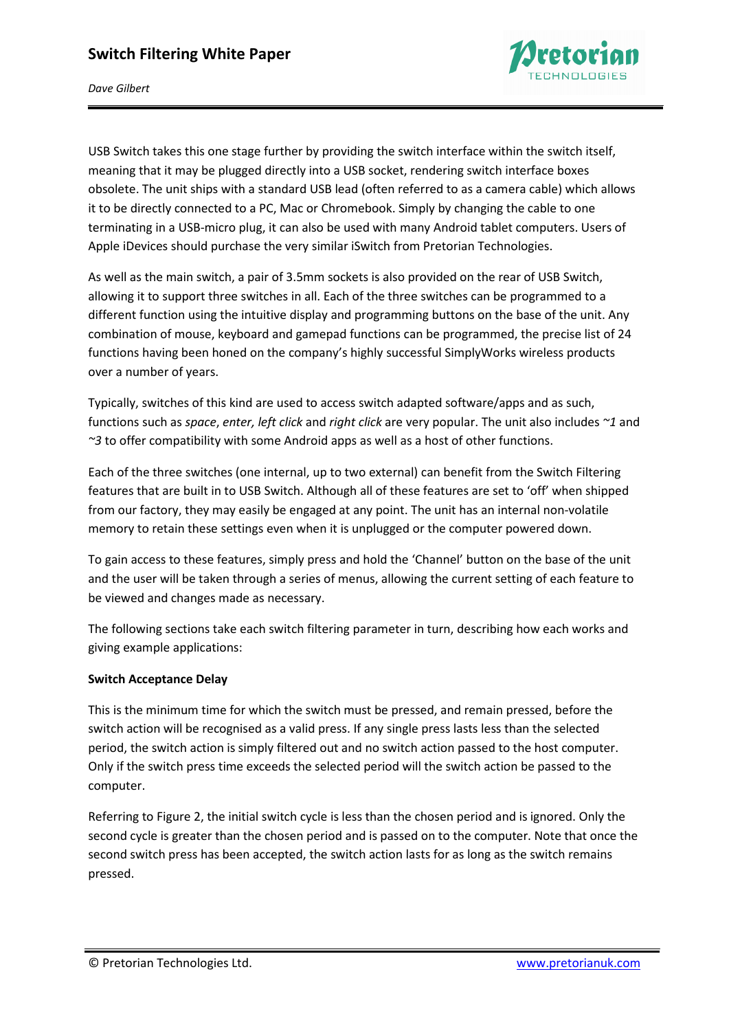

*Dave Gilbert* 

USB Switch takes this one stage further by providing the switch interface within the switch itself, meaning that it may be plugged directly into a USB socket, rendering switch interface boxes obsolete. The unit ships with a standard USB lead (often referred to as a camera cable) which allows it to be directly connected to a PC, Mac or Chromebook. Simply by changing the cable to one terminating in a USB-micro plug, it can also be used with many Android tablet computers. Users of Apple iDevices should purchase the very similar iSwitch from Pretorian Technologies.

As well as the main switch, a pair of 3.5mm sockets is also provided on the rear of USB Switch, allowing it to support three switches in all. Each of the three switches can be programmed to a different function using the intuitive display and programming buttons on the base of the unit. Any combination of mouse, keyboard and gamepad functions can be programmed, the precise list of 24 functions having been honed on the company's highly successful SimplyWorks wireless products over a number of years.

Typically, switches of this kind are used to access switch adapted software/apps and as such, functions such as *space*, *enter, left click* and *right click* are very popular. The unit also includes *~1* and *~3* to offer compatibility with some Android apps as well as a host of other functions.

Each of the three switches (one internal, up to two external) can benefit from the Switch Filtering features that are built in to USB Switch. Although all of these features are set to 'off' when shipped from our factory, they may easily be engaged at any point. The unit has an internal non-volatile memory to retain these settings even when it is unplugged or the computer powered down.

To gain access to these features, simply press and hold the 'Channel' button on the base of the unit and the user will be taken through a series of menus, allowing the current setting of each feature to be viewed and changes made as necessary.

The following sections take each switch filtering parameter in turn, describing how each works and giving example applications:

## **Switch Acceptance Delay**

This is the minimum time for which the switch must be pressed, and remain pressed, before the switch action will be recognised as a valid press. If any single press lasts less than the selected period, the switch action is simply filtered out and no switch action passed to the host computer. Only if the switch press time exceeds the selected period will the switch action be passed to the computer.

Referring to Figure 2, the initial switch cycle is less than the chosen period and is ignored. Only the second cycle is greater than the chosen period and is passed on to the computer. Note that once the second switch press has been accepted, the switch action lasts for as long as the switch remains pressed.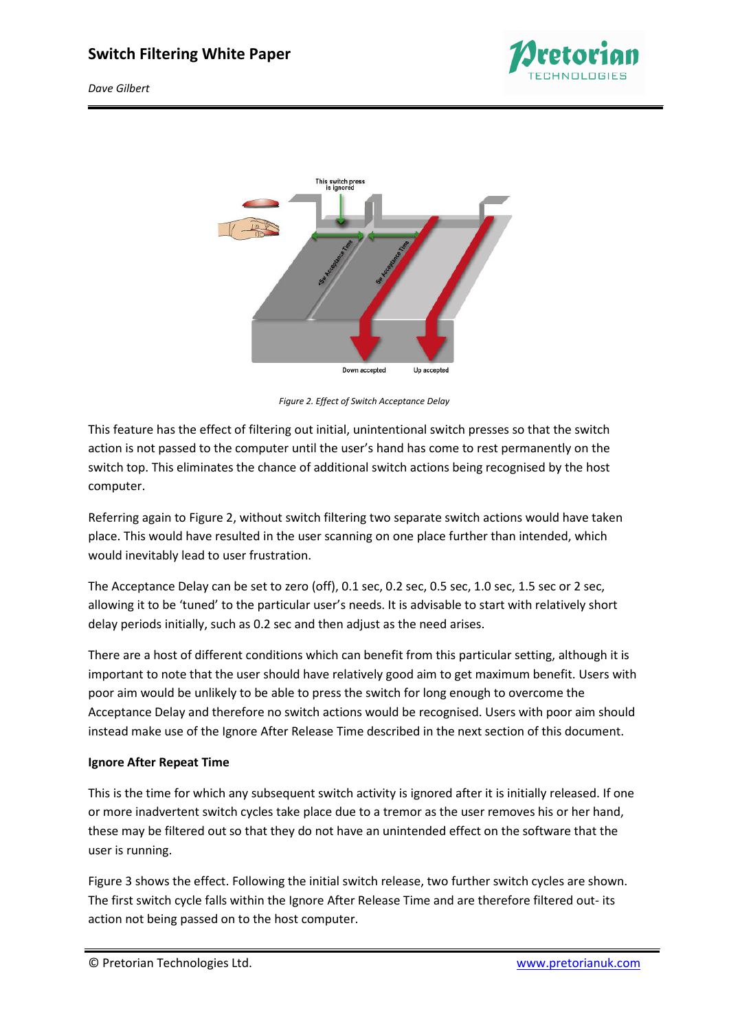

*Dave Gilbert* 



*Figure 2. Effect of Switch Acceptance Delay* 

This feature has the effect of filtering out initial, unintentional switch presses so that the switch action is not passed to the computer until the user's hand has come to rest permanently on the switch top. This eliminates the chance of additional switch actions being recognised by the host computer.

Referring again to Figure 2, without switch filtering two separate switch actions would have taken place. This would have resulted in the user scanning on one place further than intended, which would inevitably lead to user frustration.

The Acceptance Delay can be set to zero (off), 0.1 sec, 0.2 sec, 0.5 sec, 1.0 sec, 1.5 sec or 2 sec, allowing it to be 'tuned' to the particular user's needs. It is advisable to start with relatively short delay periods initially, such as 0.2 sec and then adjust as the need arises.

There are a host of different conditions which can benefit from this particular setting, although it is important to note that the user should have relatively good aim to get maximum benefit. Users with poor aim would be unlikely to be able to press the switch for long enough to overcome the Acceptance Delay and therefore no switch actions would be recognised. Users with poor aim should instead make use of the Ignore After Release Time described in the next section of this document.

## **Ignore After Repeat Time**

This is the time for which any subsequent switch activity is ignored after it is initially released. If one or more inadvertent switch cycles take place due to a tremor as the user removes his or her hand, these may be filtered out so that they do not have an unintended effect on the software that the user is running.

Figure 3 shows the effect. Following the initial switch release, two further switch cycles are shown. The first switch cycle falls within the Ignore After Release Time and are therefore filtered out- its action not being passed on to the host computer.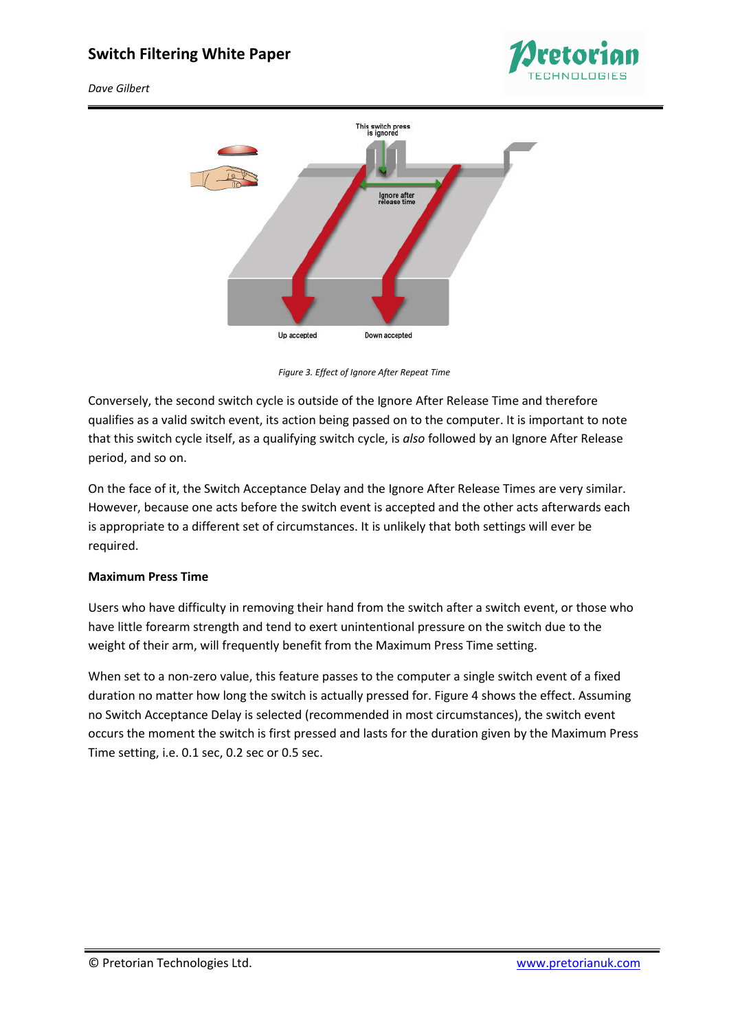

*Dave Gilbert* 



*Figure 3. Effect of Ignore After Repeat Time* 

Conversely, the second switch cycle is outside of the Ignore After Release Time and therefore qualifies as a valid switch event, its action being passed on to the computer. It is important to note that this switch cycle itself, as a qualifying switch cycle, is *also* followed by an Ignore After Release period, and so on.

On the face of it, the Switch Acceptance Delay and the Ignore After Release Times are very similar. However, because one acts before the switch event is accepted and the other acts afterwards each is appropriate to a different set of circumstances. It is unlikely that both settings will ever be required.

### **Maximum Press Time**

Users who have difficulty in removing their hand from the switch after a switch event, or those who have little forearm strength and tend to exert unintentional pressure on the switch due to the weight of their arm, will frequently benefit from the Maximum Press Time setting.

When set to a non-zero value, this feature passes to the computer a single switch event of a fixed duration no matter how long the switch is actually pressed for. Figure 4 shows the effect. Assuming no Switch Acceptance Delay is selected (recommended in most circumstances), the switch event occurs the moment the switch is first pressed and lasts for the duration given by the Maximum Press Time setting, i.e. 0.1 sec, 0.2 sec or 0.5 sec.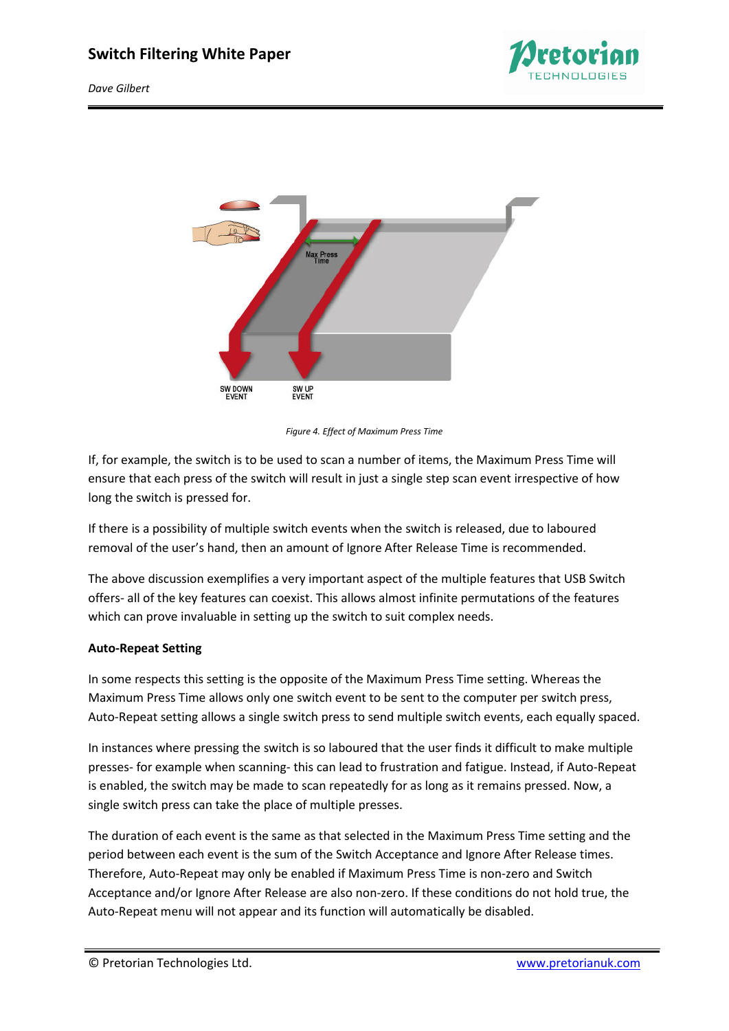

*Dave Gilbert* 



*Figure 4. Effect of Maximum Press Time* 

If, for example, the switch is to be used to scan a number of items, the Maximum Press Time will ensure that each press of the switch will result in just a single step scan event irrespective of how long the switch is pressed for.

If there is a possibility of multiple switch events when the switch is released, due to laboured removal of the user's hand, then an amount of Ignore After Release Time is recommended.

The above discussion exemplifies a very important aspect of the multiple features that USB Switch offers- all of the key features can coexist. This allows almost infinite permutations of the features which can prove invaluable in setting up the switch to suit complex needs.

## **Auto-Repeat Setting**

In some respects this setting is the opposite of the Maximum Press Time setting. Whereas the Maximum Press Time allows only one switch event to be sent to the computer per switch press, Auto-Repeat setting allows a single switch press to send multiple switch events, each equally spaced.

In instances where pressing the switch is so laboured that the user finds it difficult to make multiple presses- for example when scanning- this can lead to frustration and fatigue. Instead, if Auto-Repeat is enabled, the switch may be made to scan repeatedly for as long as it remains pressed. Now, a single switch press can take the place of multiple presses.

The duration of each event is the same as that selected in the Maximum Press Time setting and the period between each event is the sum of the Switch Acceptance and Ignore After Release times. Therefore, Auto-Repeat may only be enabled if Maximum Press Time is non-zero and Switch Acceptance and/or Ignore After Release are also non-zero. If these conditions do not hold true, the Auto-Repeat menu will not appear and its function will automatically be disabled.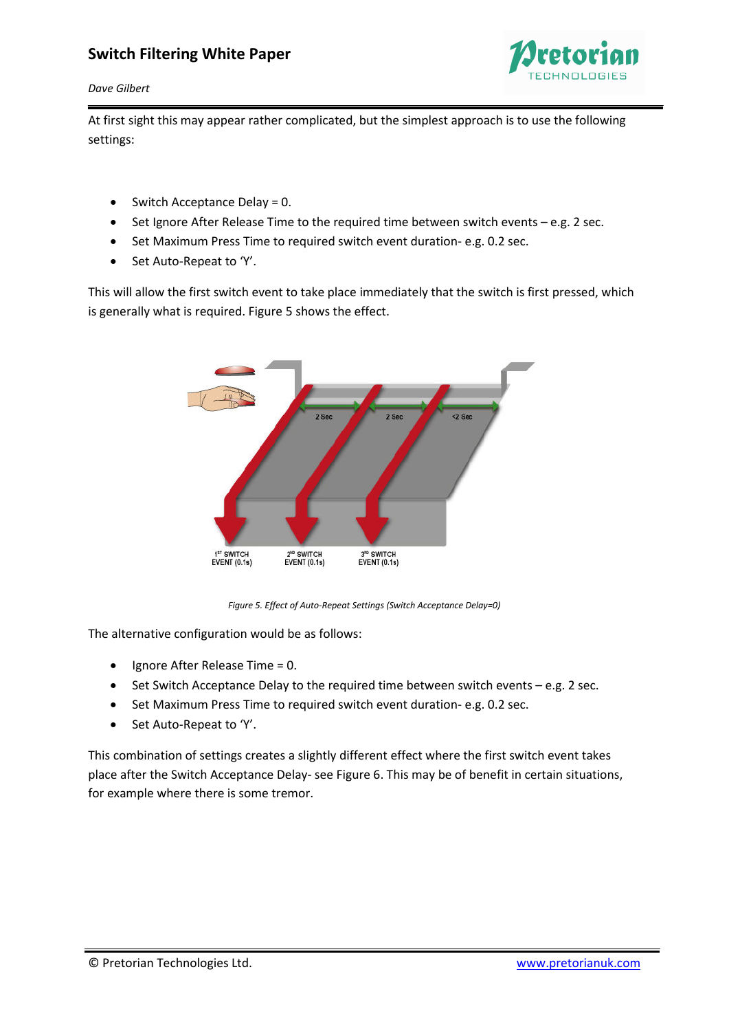

#### *Dave Gilbert*

At first sight this may appear rather complicated, but the simplest approach is to use the following settings:

- Switch Acceptance Delay = 0.
- Set Ignore After Release Time to the required time between switch events e.g. 2 sec.
- Set Maximum Press Time to required switch event duration- e.g. 0.2 sec.
- Set Auto-Repeat to 'Y'.

This will allow the first switch event to take place immediately that the switch is first pressed, which is generally what is required. Figure 5 shows the effect.



*Figure 5. Effect of Auto-Repeat Settings (Switch Acceptance Delay=0)* 

The alternative configuration would be as follows:

- Ignore After Release Time = 0.
- $\bullet$  Set Switch Acceptance Delay to the required time between switch events  $-e.g.$  2 sec.
- Set Maximum Press Time to required switch event duration- e.g. 0.2 sec.
- Set Auto-Repeat to 'Y'.

This combination of settings creates a slightly different effect where the first switch event takes place after the Switch Acceptance Delay- see Figure 6. This may be of benefit in certain situations, for example where there is some tremor.